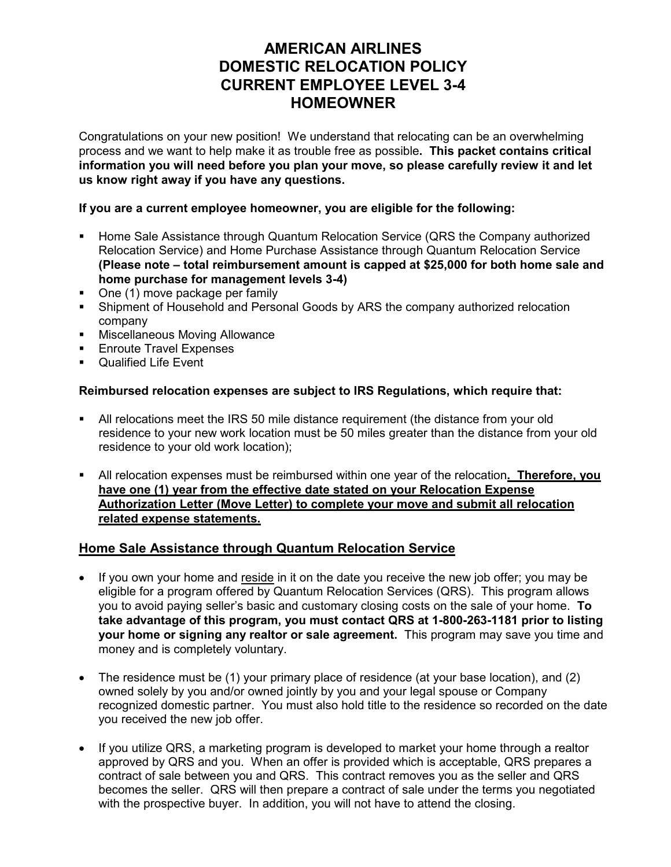# **AMERICAN AIRLINES DOMESTIC RELOCATION POLICY CURRENT EMPLOYEE LEVEL 3-4 HOMEOWNER**

Congratulations on your new position! We understand that relocating can be an overwhelming process and we want to help make it as trouble free as possible**. This packet contains critical information you will need before you plan your move, so please carefully review it and let us know right away if you have any questions.** 

#### **If you are a current employee homeowner, you are eligible for the following:**

- Home Sale Assistance through Quantum Relocation Service (QRS the Company authorized Relocation Service) and Home Purchase Assistance through Quantum Relocation Service **(Please note – total reimbursement amount is capped at \$25,000 for both home sale and home purchase for management levels 3-4)**
- One (1) move package per family
- Shipment of Household and Personal Goods by ARS the company authorized relocation company
- **Miscellaneous Moving Allowance**
- **Enroute Travel Expenses**
- **Qualified Life Event**

### **Reimbursed relocation expenses are subject to IRS Regulations, which require that:**

- All relocations meet the IRS 50 mile distance requirement (the distance from your old residence to your new work location must be 50 miles greater than the distance from your old residence to your old work location);
- All relocation expenses must be reimbursed within one year of the relocation**. Therefore, you have one (1) year from the effective date stated on your Relocation Expense Authorization Letter (Move Letter) to complete your move and submit all relocation related expense statements.**

## **Home Sale Assistance through Quantum Relocation Service**

- If you own your home and reside in it on the date you receive the new job offer; you may be eligible for a program offered by Quantum Relocation Services (QRS). This program allows you to avoid paying seller's basic and customary closing costs on the sale of your home. **To take advantage of this program, you must contact QRS at 1-800-263-1181 prior to listing your home or signing any realtor or sale agreement.** This program may save you time and money and is completely voluntary.
- $\bullet$  The residence must be (1) your primary place of residence (at your base location), and (2) owned solely by you and/or owned jointly by you and your legal spouse or Company recognized domestic partner. You must also hold title to the residence so recorded on the date you received the new job offer.
- If you utilize QRS, a marketing program is developed to market your home through a realtor approved by QRS and you. When an offer is provided which is acceptable, QRS prepares a contract of sale between you and QRS. This contract removes you as the seller and QRS becomes the seller. QRS will then prepare a contract of sale under the terms you negotiated with the prospective buyer. In addition, you will not have to attend the closing.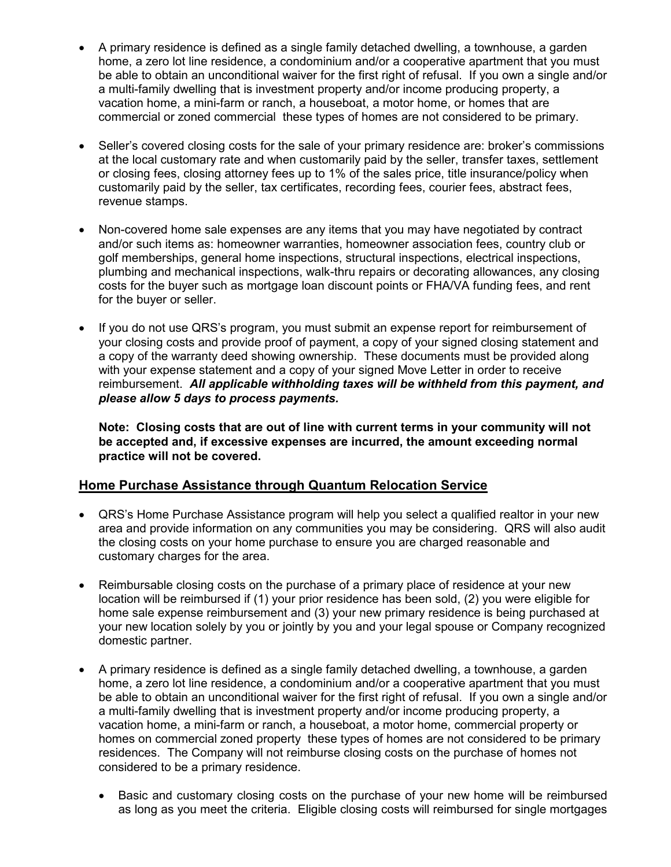- x A primary residence is defined as a single family detached dwelling, a townhouse, a garden home, a zero lot line residence, a condominium and/or a cooperative apartment that you must be able to obtain an unconditional waiver for the first right of refusal. If you own a single and/or a multi-family dwelling that is investment property and/or income producing property, a vacation home, a mini-farm or ranch, a houseboat, a motor home, or homes that are commercial or zoned commercial these types of homes are not considered to be primary.
- Seller's covered closing costs for the sale of your primary residence are: broker's commissions at the local customary rate and when customarily paid by the seller, transfer taxes, settlement or closing fees, closing attorney fees up to 1% of the sales price, title insurance/policy when customarily paid by the seller, tax certificates, recording fees, courier fees, abstract fees, revenue stamps.
- Non-covered home sale expenses are any items that you may have negotiated by contract and/or such items as: homeowner warranties, homeowner association fees, country club or golf memberships, general home inspections, structural inspections, electrical inspections, plumbing and mechanical inspections, walk-thru repairs or decorating allowances, any closing costs for the buyer such as mortgage loan discount points or FHA/VA funding fees, and rent for the buyer or seller.
- If you do not use QRS's program, you must submit an expense report for reimbursement of your closing costs and provide proof of payment, a copy of your signed closing statement and a copy of the warranty deed showing ownership. These documents must be provided along with your expense statement and a copy of your signed Move Letter in order to receive reimbursement. *All applicable withholding taxes will be withheld from this payment, and please allow 5 days to process payments.*

**Note: Closing costs that are out of line with current terms in your community will not be accepted and, if excessive expenses are incurred, the amount exceeding normal practice will not be covered.**

## **Home Purchase Assistance through Quantum Relocation Service**

- QRS's Home Purchase Assistance program will help you select a qualified realtor in your new area and provide information on any communities you may be considering. QRS will also audit the closing costs on your home purchase to ensure you are charged reasonable and customary charges for the area.
- Reimbursable closing costs on the purchase of a primary place of residence at your new location will be reimbursed if (1) your prior residence has been sold, (2) you were eligible for home sale expense reimbursement and (3) your new primary residence is being purchased at your new location solely by you or jointly by you and your legal spouse or Company recognized domestic partner.
- A primary residence is defined as a single family detached dwelling, a townhouse, a garden home, a zero lot line residence, a condominium and/or a cooperative apartment that you must be able to obtain an unconditional waiver for the first right of refusal. If you own a single and/or a multi-family dwelling that is investment property and/or income producing property, a vacation home, a mini-farm or ranch, a houseboat, a motor home, commercial property or homes on commercial zoned property these types of homes are not considered to be primary residences. The Company will not reimburse closing costs on the purchase of homes not considered to be a primary residence.
	- Basic and customary closing costs on the purchase of your new home will be reimbursed as long as you meet the criteria. Eligible closing costs will reimbursed for single mortgages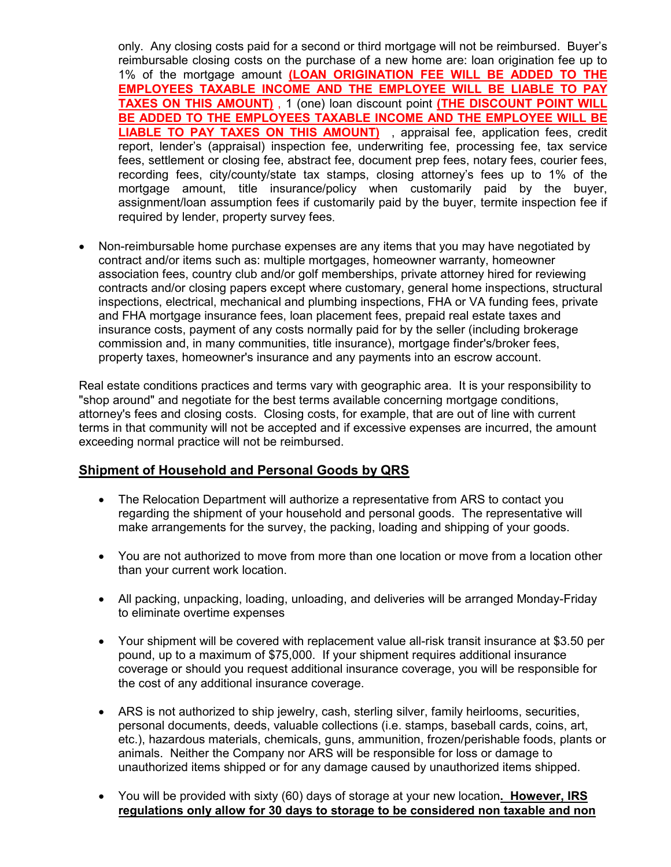only. Any closing costs paid for a second or third mortgage will not be reimbursed. Buyer's reimbursable closing costs on the purchase of a new home are: loan origination fee up to 1% of the mortgage amount **(LOAN ORIGINATION FEE WILL BE ADDED TO THE EMPLOYEES TAXABLE INCOME AND THE EMPLOYEE WILL BE LIABLE TO PAY TAXES ON THIS AMOUNT)** , 1 (one) loan discount point **(THE DISCOUNT POINT WILL BE ADDED TO THE EMPLOYEES TAXABLE INCOME AND THE EMPLOYEE WILL BE LIABLE TO PAY TAXES ON THIS AMOUNT)** , appraisal fee, application fees, credit report, lender's (appraisal) inspection fee, underwriting fee, processing fee, tax service fees, settlement or closing fee, abstract fee, document prep fees, notary fees, courier fees, recording fees, city/county/state tax stamps, closing attorney's fees up to 1% of the mortgage amount, title insurance/policy when customarily paid by the buyer, assignment/loan assumption fees if customarily paid by the buyer, termite inspection fee if required by lender, property survey fees.

Non-reimbursable home purchase expenses are any items that you may have negotiated by contract and/or items such as: multiple mortgages, homeowner warranty, homeowner association fees, country club and/or golf memberships, private attorney hired for reviewing contracts and/or closing papers except where customary, general home inspections, structural inspections, electrical, mechanical and plumbing inspections, FHA or VA funding fees, private and FHA mortgage insurance fees, loan placement fees, prepaid real estate taxes and insurance costs, payment of any costs normally paid for by the seller (including brokerage commission and, in many communities, title insurance), mortgage finder's/broker fees, property taxes, homeowner's insurance and any payments into an escrow account.

Real estate conditions practices and terms vary with geographic area. It is your responsibility to "shop around" and negotiate for the best terms available concerning mortgage conditions, attorney's fees and closing costs. Closing costs, for example, that are out of line with current terms in that community will not be accepted and if excessive expenses are incurred, the amount exceeding normal practice will not be reimbursed.

## **Shipment of Household and Personal Goods by QRS**

- The Relocation Department will authorize a representative from ARS to contact you regarding the shipment of your household and personal goods. The representative will make arrangements for the survey, the packing, loading and shipping of your goods.
- You are not authorized to move from more than one location or move from a location other than your current work location.
- All packing, unpacking, loading, unloading, and deliveries will be arranged Monday-Friday to eliminate overtime expenses
- Your shipment will be covered with replacement value all-risk transit insurance at \$3.50 per pound, up to a maximum of \$75,000. If your shipment requires additional insurance coverage or should you request additional insurance coverage, you will be responsible for the cost of any additional insurance coverage.
- ARS is not authorized to ship jewelry, cash, sterling silver, family heirlooms, securities, personal documents, deeds, valuable collections (i.e. stamps, baseball cards, coins, art, etc.), hazardous materials, chemicals, guns, ammunition, frozen/perishable foods, plants or animals. Neither the Company nor ARS will be responsible for loss or damage to unauthorized items shipped or for any damage caused by unauthorized items shipped.
- x You will be provided with sixty (60) days of storage at your new location**. However, IRS regulations only allow for 30 days to storage to be considered non taxable and non**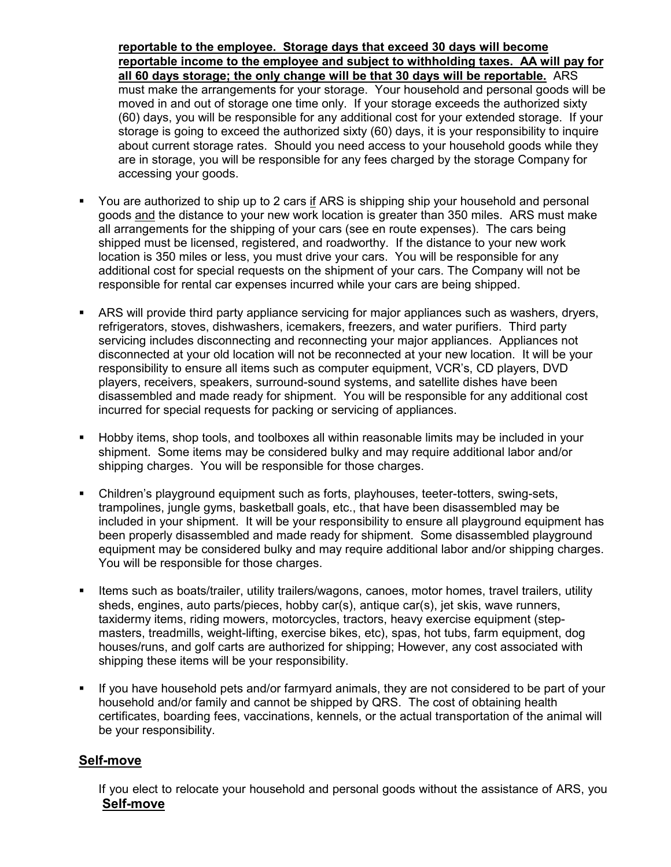**reportable to the employee. Storage days that exceed 30 days will become reportable income to the employee and subject to withholding taxes. AA will pay for all 60 days storage; the only change will be that 30 days will be reportable.** ARS must make the arrangements for your storage. Your household and personal goods will be moved in and out of storage one time only. If your storage exceeds the authorized sixty (60) days, you will be responsible for any additional cost for your extended storage. If your storage is going to exceed the authorized sixty (60) days, it is your responsibility to inquire about current storage rates. Should you need access to your household goods while they are in storage, you will be responsible for any fees charged by the storage Company for accessing your goods.

- You are authorized to ship up to 2 cars if ARS is shipping ship your household and personal goods and the distance to your new work location is greater than 350 miles. ARS must make all arrangements for the shipping of your cars (see en route expenses). The cars being shipped must be licensed, registered, and roadworthy. If the distance to your new work location is 350 miles or less, you must drive your cars. You will be responsible for any additional cost for special requests on the shipment of your cars. The Company will not be responsible for rental car expenses incurred while your cars are being shipped.
- ARS will provide third party appliance servicing for major appliances such as washers, dryers, refrigerators, stoves, dishwashers, icemakers, freezers, and water purifiers. Third party servicing includes disconnecting and reconnecting your major appliances. Appliances not disconnected at your old location will not be reconnected at your new location. It will be your responsibility to ensure all items such as computer equipment, VCR's, CD players, DVD players, receivers, speakers, surround-sound systems, and satellite dishes have been disassembled and made ready for shipment. You will be responsible for any additional cost incurred for special requests for packing or servicing of appliances.
- Hobby items, shop tools, and toolboxes all within reasonable limits may be included in your shipment. Some items may be considered bulky and may require additional labor and/or shipping charges. You will be responsible for those charges.
- Children's playground equipment such as forts, playhouses, teeter-totters, swing-sets, trampolines, jungle gyms, basketball goals, etc., that have been disassembled may be included in your shipment. It will be your responsibility to ensure all playground equipment has been properly disassembled and made ready for shipment. Some disassembled playground equipment may be considered bulky and may require additional labor and/or shipping charges. You will be responsible for those charges.
- Items such as boats/trailer, utility trailers/wagons, canoes, motor homes, travel trailers, utility sheds, engines, auto parts/pieces, hobby car(s), antique car(s), jet skis, wave runners, taxidermy items, riding mowers, motorcycles, tractors, heavy exercise equipment (stepmasters, treadmills, weight-lifting, exercise bikes, etc), spas, hot tubs, farm equipment, dog houses/runs, and golf carts are authorized for shipping; However, any cost associated with shipping these items will be your responsibility.
- If you have household pets and/or farmyard animals, they are not considered to be part of your household and/or family and cannot be shipped by QRS. The cost of obtaining health certificates, boarding fees, vaccinations, kennels, or the actual transportation of the animal will be your responsibility.

# **Self-move**

If you elect to relocate your household and personal goods without the assistance of ARS, you **Self-move**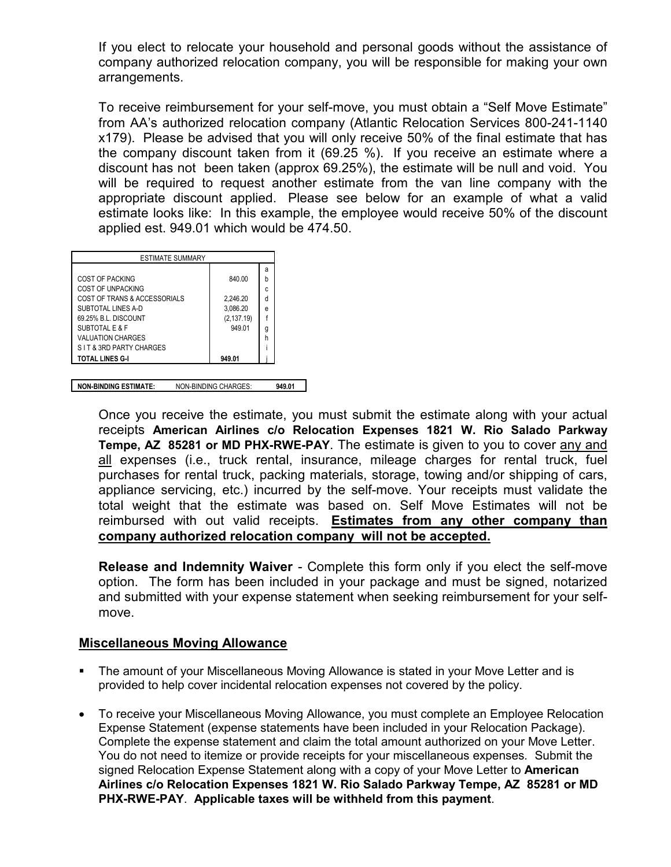If you elect to relocate your household and personal goods without the assistance of company authorized relocation company, you will be responsible for making your own arrangements.

To receive reimbursement for your self-move, you must obtain a "Self Move Estimate" from AA's authorized relocation company (Atlantic Relocation Services 800-241-1140 x179). Please be advised that you will only receive 50% of the final estimate that has the company discount taken from it (69.25 %). If you receive an estimate where a discount has not been taken (approx 69.25%), the estimate will be null and void. You will be required to request another estimate from the van line company with the appropriate discount applied. Please see below for an example of what a valid estimate looks like: In this example, the employee would receive 50% of the discount applied est. 949.01 which would be 474.50.

| ESTIMATE SUMMARY             |             |   |
|------------------------------|-------------|---|
|                              |             | a |
| <b>COST OF PACKING</b>       | 840.00      | h |
| COST OF UNPACKING            |             | C |
| COST OF TRANS & ACCESSORIALS | 2,246.20    | d |
| SUBTOTAL LINES A-D           | 3,086.20    | е |
| 69.25% B.I. DISCOUNT         | (2, 137.19) |   |
| SUBTOTAL E & F               | 949 01      | g |
| <b>VALUATION CHARGES</b>     |             | h |
| SIT & 3RD PARTY CHARGES      |             |   |
| TOTAL LINES G-I              | 949.01      |   |

**NON-BINDING ESTIMATE:** NON-BINDING CHARGES: **949.01** 

Once you receive the estimate, you must submit the estimate along with your actual receipts **American Airlines c/o Relocation Expenses 1821 W. Rio Salado Parkway Tempe, AZ 85281 or MD PHX-RWE-PAY**. The estimate is given to you to cover any and all expenses (i.e., truck rental, insurance, mileage charges for rental truck, fuel purchases for rental truck, packing materials, storage, towing and/or shipping of cars, appliance servicing, etc.) incurred by the self-move. Your receipts must validate the total weight that the estimate was based on. Self Move Estimates will not be reimbursed with out valid receipts. **Estimates from any other company than company authorized relocation company will not be accepted.** 

**Release and Indemnity Waiver** - Complete this form only if you elect the self-move option. The form has been included in your package and must be signed, notarized and submitted with your expense statement when seeking reimbursement for your selfmove.

#### **Miscellaneous Moving Allowance**

- The amount of your Miscellaneous Moving Allowance is stated in your Move Letter and is provided to help cover incidental relocation expenses not covered by the policy.
- x To receive your Miscellaneous Moving Allowance, you must complete an Employee Relocation Expense Statement (expense statements have been included in your Relocation Package). Complete the expense statement and claim the total amount authorized on your Move Letter. You do not need to itemize or provide receipts for your miscellaneous expenses*.* Submit the signed Relocation Expense Statement along with a copy of your Move Letter to **American Airlines c/o Relocation Expenses 1821 W. Rio Salado Parkway Tempe, AZ 85281 or MD PHX-RWE-PAY**. **Applicable taxes will be withheld from this payment**.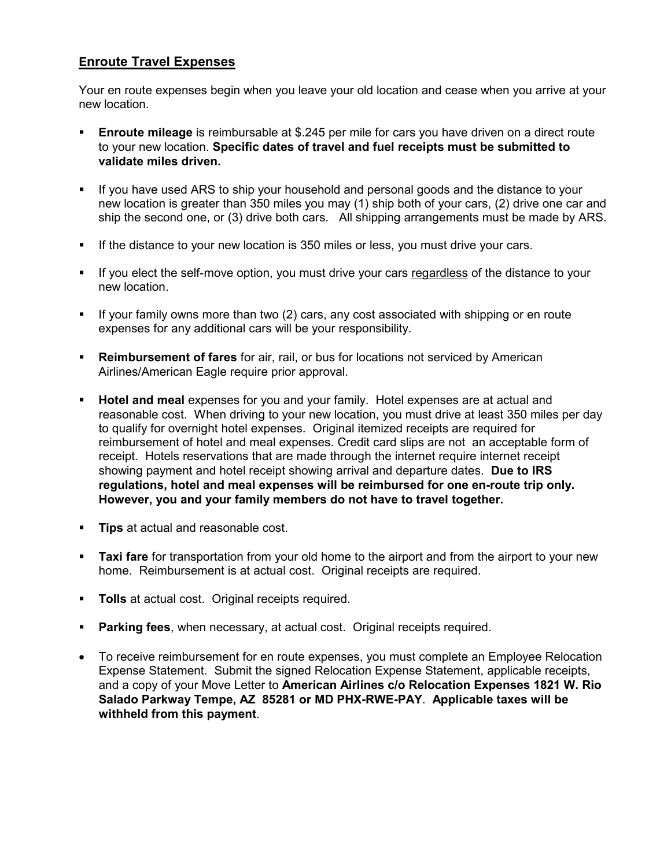# **Enroute Travel Expenses**

Your en route expenses begin when you leave your old location and cease when you arrive at your new location.

- **Enroute mileage** is reimbursable at \$.245 per mile for cars you have driven on a direct route to your new location. **Specific dates of travel and fuel receipts must be submitted to validate miles driven.**
- If you have used ARS to ship your household and personal goods and the distance to your new location is greater than 350 miles you may (1) ship both of your cars, (2) drive one car and ship the second one, or (3) drive both cars. All shipping arrangements must be made by ARS.
- If the distance to your new location is 350 miles or less, you must drive your cars.
- If you elect the self-move option, you must drive your cars regardless of the distance to your new location.
- If your family owns more than two (2) cars, any cost associated with shipping or en route expenses for any additional cars will be your responsibility.
- **Reimbursement of fares** for air, rail, or bus for locations not serviced by American Airlines/American Eagle require prior approval.
- **Hotel and meal** expenses for you and your family. Hotel expenses are at actual and reasonable cost. When driving to your new location, you must drive at least 350 miles per day to qualify for overnight hotel expenses. Original itemized receipts are required for reimbursement of hotel and meal expenses. Credit card slips are not an acceptable form of receipt. Hotels reservations that are made through the internet require internet receipt showing payment and hotel receipt showing arrival and departure dates. **Due to IRS regulations, hotel and meal expenses will be reimbursed for one en-route trip only. However, you and your family members do not have to travel together.**
- **Tips** at actual and reasonable cost.
- **Taxi fare** for transportation from your old home to the airport and from the airport to your new home. Reimbursement is at actual cost. Original receipts are required.
- **Tolls** at actual cost. Original receipts required.
- **Parking fees**, when necessary, at actual cost. Original receipts required.
- To receive reimbursement for en route expenses, you must complete an Employee Relocation Expense Statement. Submit the signed Relocation Expense Statement, applicable receipts, and a copy of your Move Letter to **American Airlines c/o Relocation Expenses 1821 W. Rio Salado Parkway Tempe, AZ 85281 or MD PHX-RWE-PAY**. **Applicable taxes will be withheld from this payment**.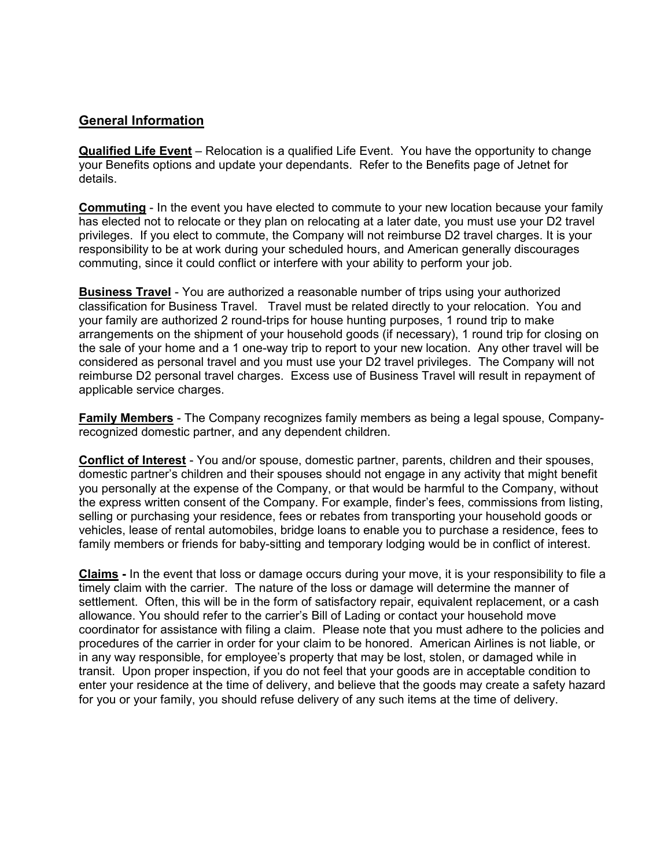# **General Information**

**Qualified Life Event** – Relocation is a qualified Life Event. You have the opportunity to change your Benefits options and update your dependants. Refer to the Benefits page of Jetnet for details.

**Commuting** - In the event you have elected to commute to your new location because your family has elected not to relocate or they plan on relocating at a later date, you must use your D2 travel privileges. If you elect to commute, the Company will not reimburse D2 travel charges. It is your responsibility to be at work during your scheduled hours, and American generally discourages commuting, since it could conflict or interfere with your ability to perform your job.

**Business Travel** - You are authorized a reasonable number of trips using your authorized classification for Business Travel. Travel must be related directly to your relocation. You and your family are authorized 2 round-trips for house hunting purposes, 1 round trip to make arrangements on the shipment of your household goods (if necessary), 1 round trip for closing on the sale of your home and a 1 one-way trip to report to your new location. Any other travel will be considered as personal travel and you must use your D2 travel privileges. The Company will not reimburse D2 personal travel charges. Excess use of Business Travel will result in repayment of applicable service charges.

**Family Members** - The Company recognizes family members as being a legal spouse, Companyrecognized domestic partner, and any dependent children.

**Conflict of Interest** - You and/or spouse, domestic partner, parents, children and their spouses, domestic partner's children and their spouses should not engage in any activity that might benefit you personally at the expense of the Company, or that would be harmful to the Company, without the express written consent of the Company. For example, finder's fees, commissions from listing, selling or purchasing your residence, fees or rebates from transporting your household goods or vehicles, lease of rental automobiles, bridge loans to enable you to purchase a residence, fees to family members or friends for baby-sitting and temporary lodging would be in conflict of interest.

**Claims -** In the event that loss or damage occurs during your move, it is your responsibility to file a timely claim with the carrier. The nature of the loss or damage will determine the manner of settlement. Often, this will be in the form of satisfactory repair, equivalent replacement, or a cash allowance. You should refer to the carrier's Bill of Lading or contact your household move coordinator for assistance with filing a claim. Please note that you must adhere to the policies and procedures of the carrier in order for your claim to be honored. American Airlines is not liable, or in any way responsible, for employee's property that may be lost, stolen, or damaged while in transit. Upon proper inspection, if you do not feel that your goods are in acceptable condition to enter your residence at the time of delivery, and believe that the goods may create a safety hazard for you or your family, you should refuse delivery of any such items at the time of delivery.